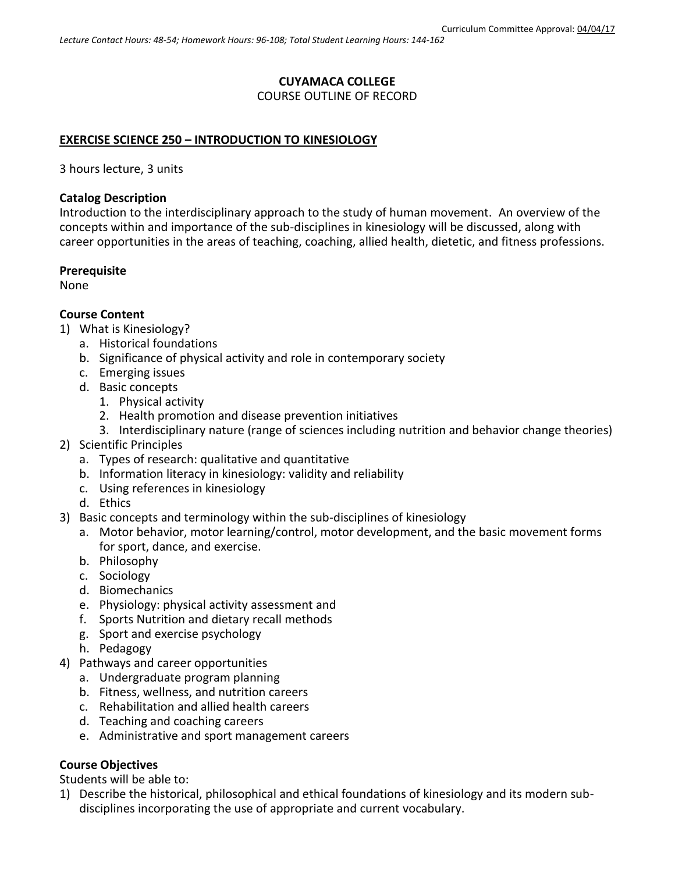# **CUYAMACA COLLEGE**

COURSE OUTLINE OF RECORD

#### **EXERCISE SCIENCE 250 – INTRODUCTION TO KINESIOLOGY**

3 hours lecture, 3 units

#### **Catalog Description**

Introduction to the interdisciplinary approach to the study of human movement. An overview of the concepts within and importance of the sub-disciplines in kinesiology will be discussed, along with career opportunities in the areas of teaching, coaching, allied health, dietetic, and fitness professions.

#### **Prerequisite**

None

#### **Course Content**

- 1) What is Kinesiology?
	- a. Historical foundations
	- b. Significance of physical activity and role in contemporary society
	- c. Emerging issues
	- d. Basic concepts
		- 1. Physical activity
		- 2. Health promotion and disease prevention initiatives
		- 3. Interdisciplinary nature (range of sciences including nutrition and behavior change theories)
- 2) Scientific Principles
	- a. Types of research: qualitative and quantitative
	- b. Information literacy in kinesiology: validity and reliability
	- c. Using references in kinesiology
	- d. Ethics
- 3) Basic concepts and terminology within the sub-disciplines of kinesiology
	- a. Motor behavior, motor learning/control, motor development, and the basic movement forms for sport, dance, and exercise.
	- b. Philosophy
	- c. Sociology
	- d. Biomechanics
	- e. Physiology: physical activity assessment and
	- f. Sports Nutrition and dietary recall methods
	- g. Sport and exercise psychology
	- h. Pedagogy
- 4) Pathways and career opportunities
	- a. Undergraduate program planning
	- b. Fitness, wellness, and nutrition careers
	- c. Rehabilitation and allied health careers
	- d. Teaching and coaching careers
	- e. Administrative and sport management careers

#### **Course Objectives**

Students will be able to:

1) Describe the historical, philosophical and ethical foundations of kinesiology and its modern subdisciplines incorporating the use of appropriate and current vocabulary.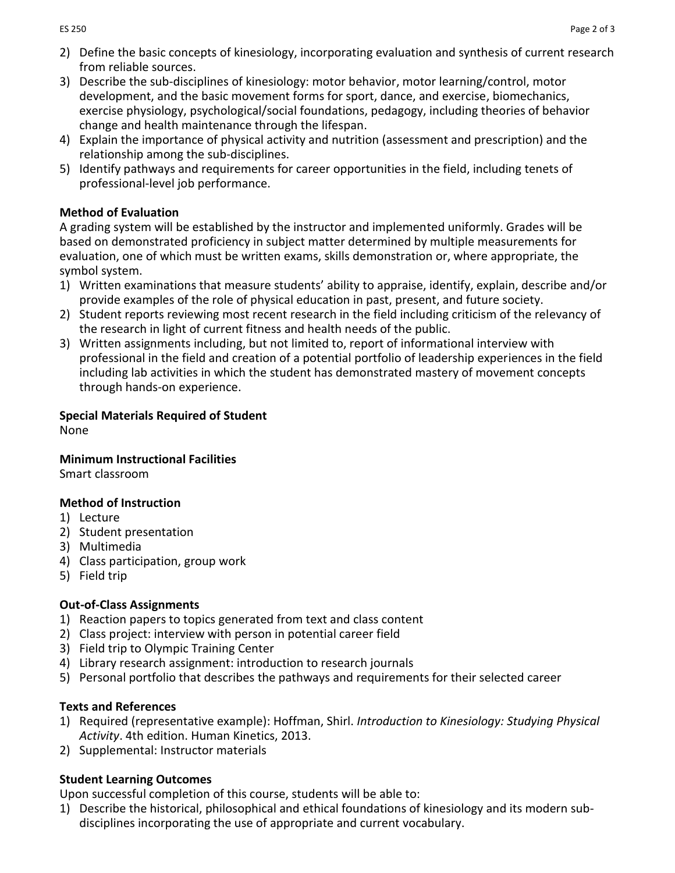- 2) Define the basic concepts of kinesiology, incorporating evaluation and synthesis of current research from reliable sources.
- 3) Describe the sub-disciplines of kinesiology: motor behavior, motor learning/control, motor development, and the basic movement forms for sport, dance, and exercise, biomechanics, exercise physiology, psychological/social foundations, pedagogy, including theories of behavior change and health maintenance through the lifespan.
- 4) Explain the importance of physical activity and nutrition (assessment and prescription) and the relationship among the sub-disciplines.
- 5) Identify pathways and requirements for career opportunities in the field, including tenets of professional-level job performance.

## **Method of Evaluation**

A grading system will be established by the instructor and implemented uniformly. Grades will be based on demonstrated proficiency in subject matter determined by multiple measurements for evaluation, one of which must be written exams, skills demonstration or, where appropriate, the symbol system.

- 1) Written examinations that measure students' ability to appraise, identify, explain, describe and/or provide examples of the role of physical education in past, present, and future society.
- 2) Student reports reviewing most recent research in the field including criticism of the relevancy of the research in light of current fitness and health needs of the public.
- 3) Written assignments including, but not limited to, report of informational interview with professional in the field and creation of a potential portfolio of leadership experiences in the field including lab activities in which the student has demonstrated mastery of movement concepts through hands-on experience.

## **Special Materials Required of Student**

None

## **Minimum Instructional Facilities**

Smart classroom

## **Method of Instruction**

- 1) Lecture
- 2) Student presentation
- 3) Multimedia
- 4) Class participation, group work
- 5) Field trip

## **Out-of-Class Assignments**

- 1) Reaction papers to topics generated from text and class content
- 2) Class project: interview with person in potential career field
- 3) Field trip to Olympic Training Center
- 4) Library research assignment: introduction to research journals
- 5) Personal portfolio that describes the pathways and requirements for their selected career

## **Texts and References**

- 1) Required (representative example): Hoffman, Shirl. *Introduction to Kinesiology: Studying Physical Activity*. 4th edition. Human Kinetics, 2013.
- 2) Supplemental: Instructor materials

## **Student Learning Outcomes**

Upon successful completion of this course, students will be able to:

1) Describe the historical, philosophical and ethical foundations of kinesiology and its modern subdisciplines incorporating the use of appropriate and current vocabulary.